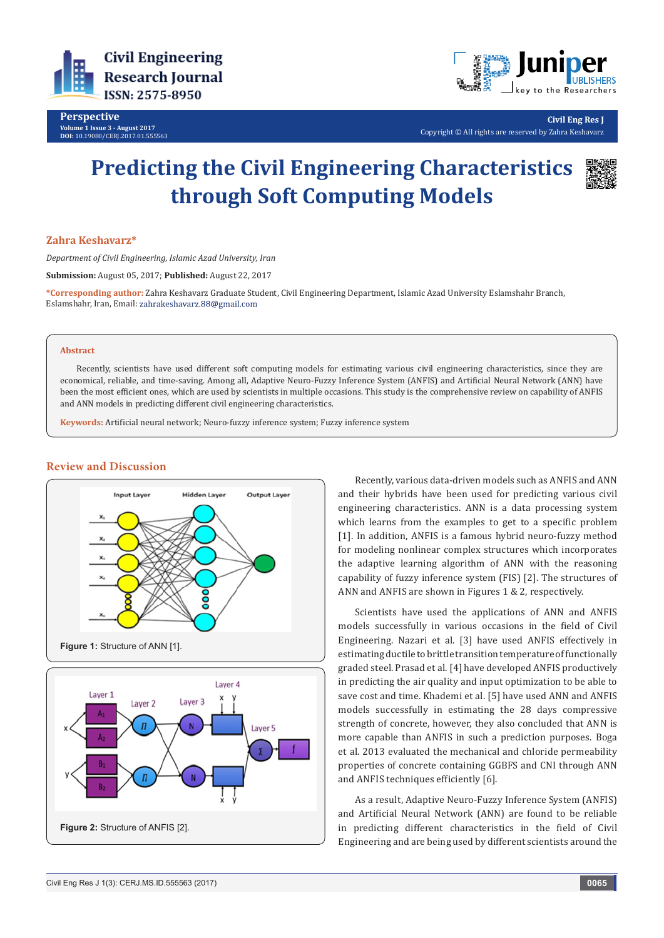

**Perspective Volume 1 Issue 3 - August 2017 DOI:** [10.19080/CERJ.2017.01.555563](http://dx.doi.org/10.19080/CERJ.2017.01.555563
)



**Civil Eng Res J**

Copyright © All rights are reserved by Zahra Keshavarz

# **Predicting the Civil Engineering Characteristics through Soft Computing Models**



## **Zahra Keshavarz\***

*Department of Civil Engineering, Islamic Azad University, Iran*

**Submission:** August 05, 2017; **Published:** August 22, 2017

**\*Corresponding author:** Zahra Keshavarz Graduate Student, Civil Engineering Department, Islamic Azad University Eslamshahr Branch, Eslamshahr, Iran, Email:

#### **Abstract**

Recently, scientists have used different soft computing models for estimating various civil engineering characteristics, since they are economical, reliable, and time-saving. Among all, Adaptive Neuro-Fuzzy Inference System (ANFIS) and Artificial Neural Network (ANN) have been the most efficient ones, which are used by scientists in multiple occasions. This study is the comprehensive review on capability of ANFIS and ANN models in predicting different civil engineering characteristics.

**Keywords:** Artificial neural network; Neuro-fuzzy inference system; Fuzzy inference system



### **Review and Discussion**



Recently, various data-driven models such as ANFIS and ANN and their hybrids have been used for predicting various civil engineering characteristics. ANN is a data processing system which learns from the examples to get to a specific problem [1]. In addition, ANFIS is a famous hybrid neuro-fuzzy method for modeling nonlinear complex structures which incorporates the adaptive learning algorithm of ANN with the reasoning capability of fuzzy inference system (FIS) [2]. The structures of ANN and ANFIS are shown in Figures 1 & 2, respectively.

Scientists have used the applications of ANN and ANFIS models successfully in various occasions in the field of Civil Engineering. Nazari et al. [3] have used ANFIS effectively in estimating ductile to brittle transition temperature of functionally graded steel. Prasad et al. [4] have developed ANFIS productively in predicting the air quality and input optimization to be able to save cost and time. Khademi et al. [5] have used ANN and ANFIS models successfully in estimating the 28 days compressive strength of concrete, however, they also concluded that ANN is more capable than ANFIS in such a prediction purposes. Boga et al. 2013 evaluated the mechanical and chloride permeability properties of concrete containing GGBFS and CNI through ANN and ANFIS techniques efficiently [6].

As a result, Adaptive Neuro-Fuzzy Inference System (ANFIS) and Artificial Neural Network (ANN) are found to be reliable in predicting different characteristics in the field of Civil Engineering and are being used by different scientists around the